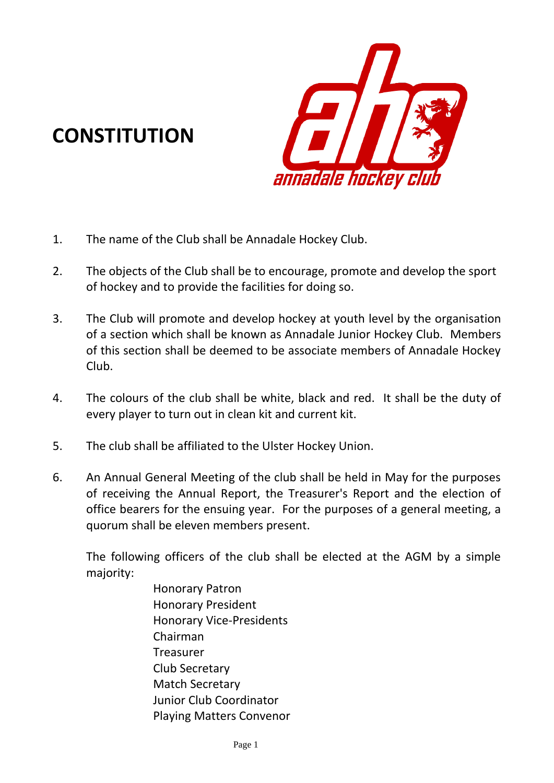# **CONSTITUTION**



- 1. The name of the Club shall be Annadale Hockey Club.
- 2. The objects of the Club shall be to encourage, promote and develop the sport of hockey and to provide the facilities for doing so.
- 3. The Club will promote and develop hockey at youth level by the organisation of a section which shall be known as Annadale Junior Hockey Club. Members of this section shall be deemed to be associate members of Annadale Hockey Club.
- 4. The colours of the club shall be white, black and red. It shall be the duty of every player to turn out in clean kit and current kit.
- 5. The club shall be affiliated to the Ulster Hockey Union.
- 6. An Annual General Meeting of the club shall be held in May for the purposes of receiving the Annual Report, the Treasurer's Report and the election of office bearers for the ensuing year. For the purposes of a general meeting, a quorum shall be eleven members present.

The following officers of the club shall be elected at the AGM by a simple majority:

> Honorary Patron Honorary President Honorary Vice-Presidents Chairman **Treasurer** Club Secretary Match Secretary Junior Club Coordinator Playing Matters Convenor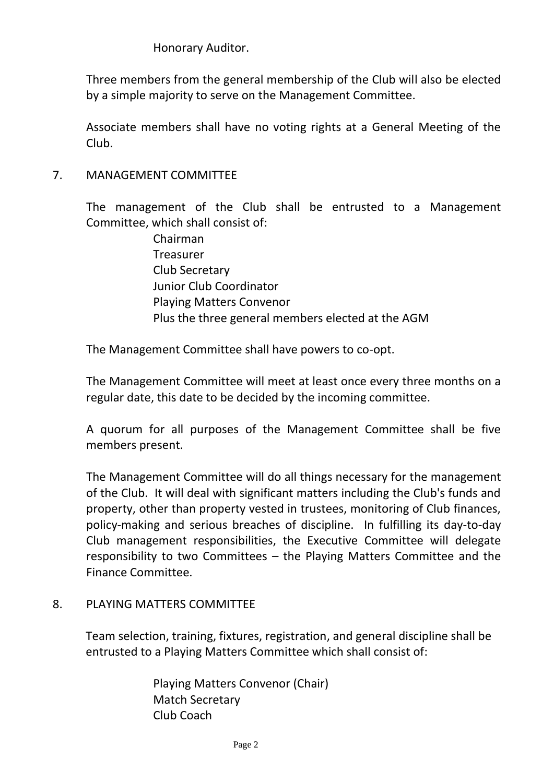Honorary Auditor.

Three members from the general membership of the Club will also be elected by a simple majority to serve on the Management Committee.

Associate members shall have no voting rights at a General Meeting of the Club.

### 7. MANAGEMENT COMMITTEE

The management of the Club shall be entrusted to a Management Committee, which shall consist of:

> Chairman Treasurer Club Secretary Junior Club Coordinator Playing Matters Convenor Plus the three general members elected at the AGM

The Management Committee shall have powers to co-opt.

The Management Committee will meet at least once every three months on a regular date, this date to be decided by the incoming committee.

A quorum for all purposes of the Management Committee shall be five members present.

The Management Committee will do all things necessary for the management of the Club. It will deal with significant matters including the Club's funds and property, other than property vested in trustees, monitoring of Club finances, policy-making and serious breaches of discipline. In fulfilling its day-to-day Club management responsibilities, the Executive Committee will delegate responsibility to two Committees – the Playing Matters Committee and the Finance Committee.

#### 8. PLAYING MATTERS COMMITTEE

Team selection, training, fixtures, registration, and general discipline shall be entrusted to a Playing Matters Committee which shall consist of:

> Playing Matters Convenor (Chair) Match Secretary Club Coach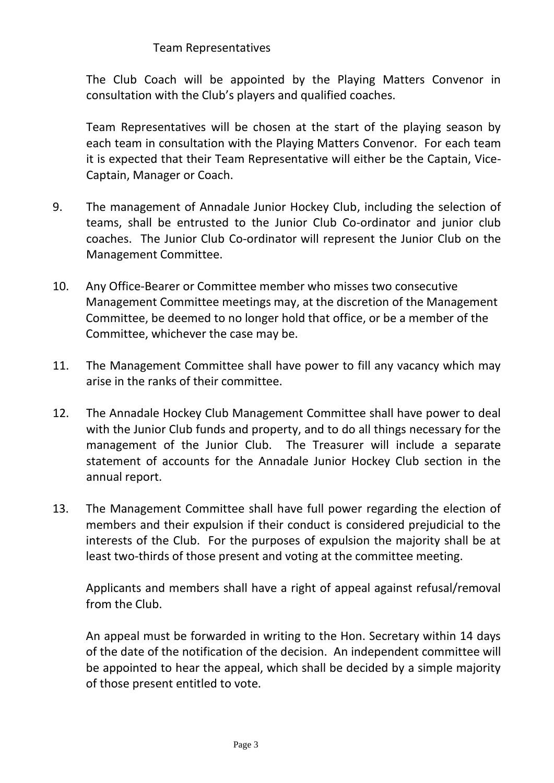## Team Representatives

The Club Coach will be appointed by the Playing Matters Convenor in consultation with the Club's players and qualified coaches.

Team Representatives will be chosen at the start of the playing season by each team in consultation with the Playing Matters Convenor. For each team it is expected that their Team Representative will either be the Captain, Vice-Captain, Manager or Coach.

- 9. The management of Annadale Junior Hockey Club, including the selection of teams, shall be entrusted to the Junior Club Co-ordinator and junior club coaches. The Junior Club Co-ordinator will represent the Junior Club on the Management Committee.
- 10. Any Office-Bearer or Committee member who misses two consecutive Management Committee meetings may, at the discretion of the Management Committee, be deemed to no longer hold that office, or be a member of the Committee, whichever the case may be.
- 11. The Management Committee shall have power to fill any vacancy which may arise in the ranks of their committee.
- 12. The Annadale Hockey Club Management Committee shall have power to deal with the Junior Club funds and property, and to do all things necessary for the management of the Junior Club. The Treasurer will include a separate statement of accounts for the Annadale Junior Hockey Club section in the annual report.
- 13. The Management Committee shall have full power regarding the election of members and their expulsion if their conduct is considered prejudicial to the interests of the Club. For the purposes of expulsion the majority shall be at least two-thirds of those present and voting at the committee meeting.

Applicants and members shall have a right of appeal against refusal/removal from the Club.

An appeal must be forwarded in writing to the Hon. Secretary within 14 days of the date of the notification of the decision. An independent committee will be appointed to hear the appeal, which shall be decided by a simple majority of those present entitled to vote.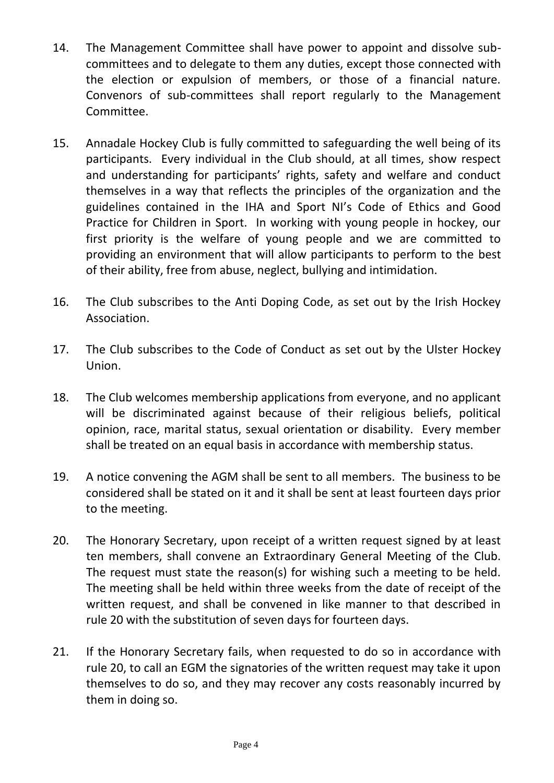- 14. The Management Committee shall have power to appoint and dissolve subcommittees and to delegate to them any duties, except those connected with the election or expulsion of members, or those of a financial nature. Convenors of sub-committees shall report regularly to the Management Committee.
- 15. Annadale Hockey Club is fully committed to safeguarding the well being of its participants. Every individual in the Club should, at all times, show respect and understanding for participants' rights, safety and welfare and conduct themselves in a way that reflects the principles of the organization and the guidelines contained in the IHA and Sport NI's Code of Ethics and Good Practice for Children in Sport. In working with young people in hockey, our first priority is the welfare of young people and we are committed to providing an environment that will allow participants to perform to the best of their ability, free from abuse, neglect, bullying and intimidation.
- 16. The Club subscribes to the Anti Doping Code, as set out by the Irish Hockey Association.
- 17. The Club subscribes to the Code of Conduct as set out by the Ulster Hockey Union.
- 18. The Club welcomes membership applications from everyone, and no applicant will be discriminated against because of their religious beliefs, political opinion, race, marital status, sexual orientation or disability. Every member shall be treated on an equal basis in accordance with membership status.
- 19. A notice convening the AGM shall be sent to all members. The business to be considered shall be stated on it and it shall be sent at least fourteen days prior to the meeting.
- 20. The Honorary Secretary, upon receipt of a written request signed by at least ten members, shall convene an Extraordinary General Meeting of the Club. The request must state the reason(s) for wishing such a meeting to be held. The meeting shall be held within three weeks from the date of receipt of the written request, and shall be convened in like manner to that described in rule 20 with the substitution of seven days for fourteen days.
- 21. If the Honorary Secretary fails, when requested to do so in accordance with rule 20, to call an EGM the signatories of the written request may take it upon themselves to do so, and they may recover any costs reasonably incurred by them in doing so.